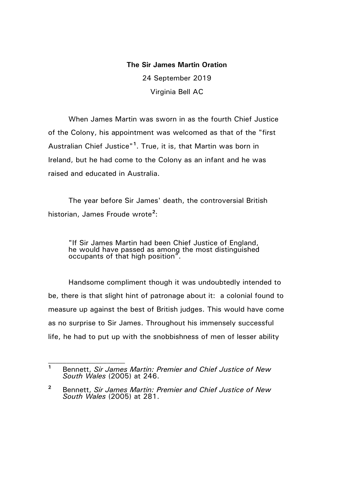## **The Sir James Martin Oration**

24 September 2019 Virginia Bell AC

When James Martin was sworn in as the fourth Chief Justice of the Colony, his appointment was welcomed as that of the "first Australian Chief Justice"**[1](#page-0-0)** . True, it is, that Martin was born in Ireland, but he had come to the Colony as an infant and he was raised and educated in Australia.

The year before Sir James' death, the controversial British historian, James Froude wrote**[2](#page-0-1)** :

"If Sir James Martin had been Chief Justice of England, he would have passed as among the most distinguished occupants of that high position".

Handsome compliment though it was undoubtedly intended to be, there is that slight hint of patronage about it: a colonial found to measure up against the best of British judges. This would have come as no surprise to Sir James. Throughout his immensely successful life, he had to put up with the snobbishness of men of lesser ability

<span id="page-0-0"></span>**<sup>1</sup>** Bennett, *Sir James Martin: Premier and Chief Justice of New South Wales* (2005) at 246.

<span id="page-0-1"></span>**<sup>2</sup>** Bennett, *Sir James Martin: Premier and Chief Justice of New South Wales* (2005) at 281.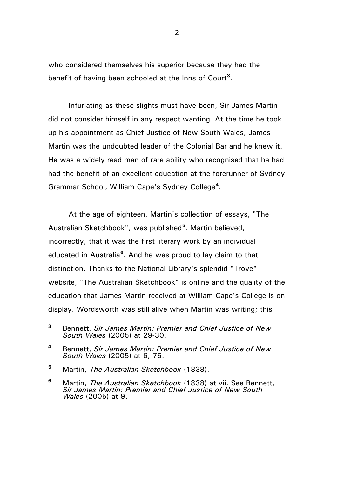who considered themselves his superior because they had the benefit of having been schooled at the Inns of Court**[3](#page-1-0)** .

Infuriating as these slights must have been, Sir James Martin did not consider himself in any respect wanting. At the time he took up his appointment as Chief Justice of New South Wales, James Martin was the undoubted leader of the Colonial Bar and he knew it. He was a widely read man of rare ability who recognised that he had had the benefit of an excellent education at the forerunner of Sydney Grammar School, William Cape's Sydney College**[4](#page-1-1)** .

At the age of eighteen, Martin's collection of essays, "The Australian Sketchbook", was published**[5](#page-1-2)** . Martin believed, incorrectly, that it was the first literary work by an individual educated in Australia**[6](#page-1-3)** . And he was proud to lay claim to that distinction. Thanks to the National Library's splendid "Trove" website, "The Australian Sketchbook" is online and the quality of the education that James Martin received at William Cape's College is on display. Wordsworth was still alive when Martin was writing; this

<span id="page-1-2"></span>**<sup>5</sup>** Martin, *The Australian Sketchbook* (1838).

<span id="page-1-0"></span>**<sup>3</sup>** Bennett, *Sir James Martin: Premier and Chief Justice of New South Wales* (2005) at 29-30.

<span id="page-1-1"></span>**<sup>4</sup>** Bennett, *Sir James Martin: Premier and Chief Justice of New South Wales* (2005) at 6, 75.

<span id="page-1-3"></span>**<sup>6</sup>** Martin, *The Australian Sketchbook* (1838) at vii. See Bennett, *Sir James Martin: Premier and Chief Justice of New South Wales* (2005) at 9.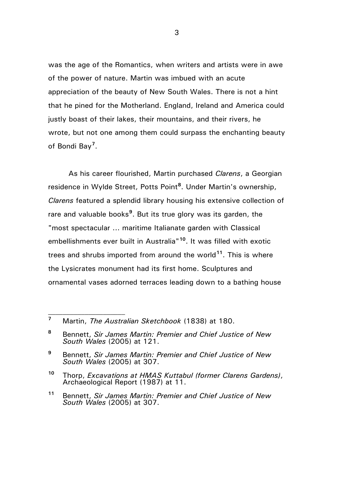was the age of the Romantics, when writers and artists were in awe of the power of nature. Martin was imbued with an acute appreciation of the beauty of New South Wales. There is not a hint that he pined for the Motherland. England, Ireland and America could justly boast of their lakes, their mountains, and their rivers, he wrote, but not one among them could surpass the enchanting beauty of Bondi Bay**[7](#page-2-0)** .

As his career flourished, Martin purchased *Clarens*, a Georgian residence in Wylde Street, Potts Point**[8](#page-2-1)** . Under Martin's ownership, *Clarens* featured a splendid library housing his extensive collection of rare and valuable books<sup>[9](#page-2-2)</sup>. But its true glory was its garden, the "most spectacular ... maritime Italianate garden with Classical embellishments ever built in Australia"**[10](#page-2-3)**. It was filled with exotic trees and shrubs imported from around the world**[11](#page-2-4)**. This is where the Lysicrates monument had its first home. Sculptures and ornamental vases adorned terraces leading down to a bathing house

<span id="page-2-0"></span>**<sup>7</sup>** Martin, *The Australian Sketchbook* (1838) at 180.

 $\mathcal{L}_\text{max}$ 

<span id="page-2-1"></span>**<sup>8</sup>** Bennett, *Sir James Martin: Premier and Chief Justice of New South Wales* (2005) at 121.

<span id="page-2-2"></span>**<sup>9</sup>** Bennett, *Sir James Martin: Premier and Chief Justice of New South Wales* (2005) at 307.

<span id="page-2-3"></span>**<sup>10</sup>** Thorp, *Excavations at HMAS Kuttabul (former Clarens Gardens)*, Archaeological Report (1987) at 11.

<span id="page-2-4"></span>**<sup>11</sup>** Bennett, *Sir James Martin: Premier and Chief Justice of New South Wales* (2005) at 307.

3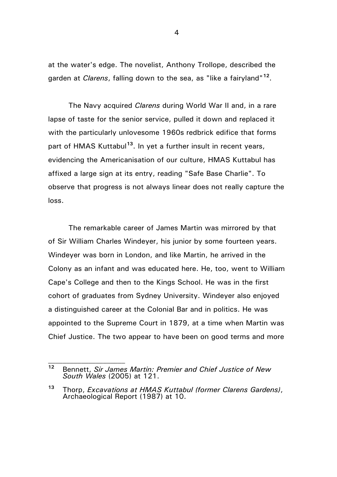at the water's edge. The novelist, Anthony Trollope, described the garden at *Clarens*, falling down to the sea, as "like a fairyland"**[12](#page-3-0)**.

The Navy acquired *Clarens* during World War II and, in a rare lapse of taste for the senior service, pulled it down and replaced it with the particularly unlovesome 1960s redbrick edifice that forms part of HMAS Kuttabul**[13](#page-3-1)**. In yet a further insult in recent years, evidencing the Americanisation of our culture, HMAS Kuttabul has affixed a large sign at its entry, reading "Safe Base Charlie". To observe that progress is not always linear does not really capture the loss.

The remarkable career of James Martin was mirrored by that of Sir William Charles Windeyer, his junior by some fourteen years. Windeyer was born in London, and like Martin, he arrived in the Colony as an infant and was educated here. He, too, went to William Cape's College and then to the Kings School. He was in the first cohort of graduates from Sydney University. Windeyer also enjoyed a distinguished career at the Colonial Bar and in politics. He was appointed to the Supreme Court in 1879, at a time when Martin was Chief Justice. The two appear to have been on good terms and more

<span id="page-3-0"></span>**<sup>12</sup>** Bennett, *Sir James Martin: Premier and Chief Justice of New South Wales* (2005) at 121.

<span id="page-3-1"></span>**<sup>13</sup>** Thorp, *Excavations at HMAS Kuttabul (former Clarens Gardens)*, Archaeological Report (1987) at 10.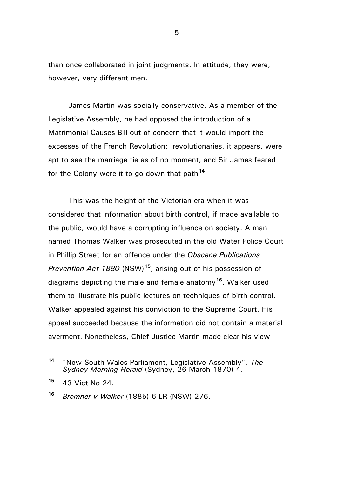than once collaborated in joint judgments. In attitude, they were, however, very different men.

James Martin was socially conservative. As a member of the Legislative Assembly, he had opposed the introduction of a Matrimonial Causes Bill out of concern that it would import the excesses of the French Revolution; revolutionaries, it appears, were apt to see the marriage tie as of no moment, and Sir James feared for the Colony were it to go down that path**[14](#page-4-0)**.

This was the height of the Victorian era when it was considered that information about birth control, if made available to the public, would have a corrupting influence on society. A man named Thomas Walker was prosecuted in the old Water Police Court in Phillip Street for an offence under the *Obscene Publications Prevention Act 1880* (NSW)**[15](#page-4-1)**, arising out of his possession of diagrams depicting the male and female anatomy**[16](#page-4-2)**. Walker used them to illustrate his public lectures on techniques of birth control. Walker appealed against his conviction to the Supreme Court. His appeal succeeded because the information did not contain a material averment. Nonetheless, Chief Justice Martin made clear his view

<span id="page-4-0"></span>**<sup>14</sup>** "New South Wales Parliament, Legislative Assembly", *The Sydney Morning Herald* (Sydney, 26 March 1870) 4.

<span id="page-4-1"></span>**<sup>15</sup>** 43 Vict No 24.

<span id="page-4-2"></span>**<sup>16</sup>** *Bremner v Walker* (1885) 6 LR (NSW) 276.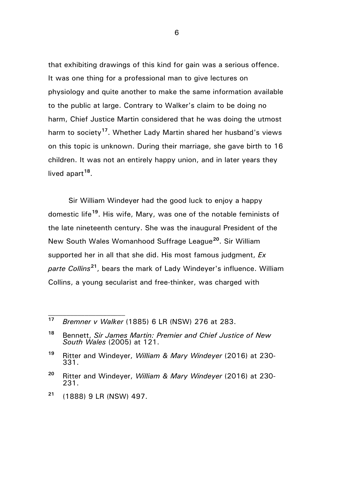that exhibiting drawings of this kind for gain was a serious offence. It was one thing for a professional man to give lectures on physiology and quite another to make the same information available to the public at large. Contrary to Walker's claim to be doing no harm, Chief Justice Martin considered that he was doing the utmost harm to society**[17](#page-5-0)**. Whether Lady Martin shared her husband's views on this topic is unknown. During their marriage, she gave birth to 16 children. It was not an entirely happy union, and in later years they lived apart**[18](#page-5-1)**.

Sir William Windeyer had the good luck to enjoy a happy domestic life**[19](#page-5-2)**. His wife, Mary, was one of the notable feminists of the late nineteenth century. She was the inaugural President of the New South Wales Womanhood Suffrage League**[20](#page-5-3)**. Sir William supported her in all that she did. His most famous judgment, *Ex parte Collins***[21](#page-5-4)**, bears the mark of Lady Windeyer's influence. William Collins, a young secularist and free-thinker, was charged with

<span id="page-5-4"></span>**<sup>21</sup>** (1888) 9 LR (NSW) 497.

 $\mathcal{L}_\text{max}$ 

6

<span id="page-5-0"></span>**<sup>17</sup>** *Bremner v Walker* (1885) 6 LR (NSW) 276 at 283.

<span id="page-5-1"></span>**<sup>18</sup>** Bennett, *Sir James Martin: Premier and Chief Justice of New South Wales* (2005) at 121.

<span id="page-5-2"></span>**<sup>19</sup>** Ritter and Windeyer, *William & Mary Windeyer* (2016) at 230- 331.

<span id="page-5-3"></span>**<sup>20</sup>** Ritter and Windeyer, *William & Mary Windeyer* (2016) at 230- 231.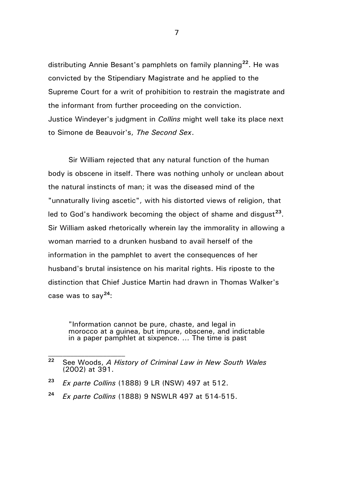distributing Annie Besant's pamphlets on family planning**[22](#page-6-0)**. He was convicted by the Stipendiary Magistrate and he applied to the Supreme Court for a writ of prohibition to restrain the magistrate and the informant from further proceeding on the conviction. Justice Windeyer's judgment in *Collins* might well take its place next to Simone de Beauvoir's, *The Second Sex*.

Sir William rejected that any natural function of the human body is obscene in itself. There was nothing unholy or unclean about the natural instincts of man; it was the diseased mind of the "unnaturally living ascetic", with his distorted views of religion, that led to God's handiwork becoming the object of shame and disgust**[23](#page-6-1)**. Sir William asked rhetorically wherein lay the immorality in allowing a woman married to a drunken husband to avail herself of the information in the pamphlet to avert the consequences of her husband's brutal insistence on his marital rights. His riposte to the distinction that Chief Justice Martin had drawn in Thomas Walker's case was to say**[24](#page-6-2)**:

"Information cannot be pure, chaste, and legal in morocco at a guinea, but impure, obscene, and indictable in a paper pamphlet at sixpence. … The time is past

<span id="page-6-0"></span>**<sup>22</sup>** See Woods, *A History of Criminal Law in New South Wales*  (2002) at 391.

<span id="page-6-1"></span>**<sup>23</sup>** *Ex parte Collins* (1888) 9 LR (NSW) 497 at 512.

<span id="page-6-2"></span>**<sup>24</sup>** *Ex parte Collins* (1888) 9 NSWLR 497 at 514-515.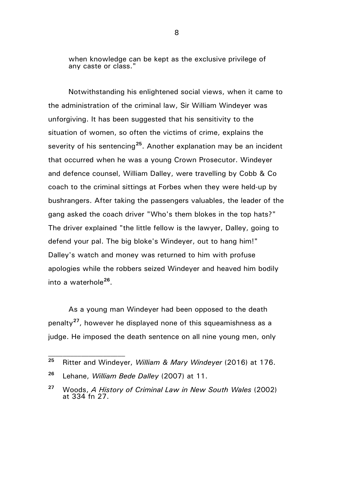when knowledge can be kept as the exclusive privilege of any caste or class."

Notwithstanding his enlightened social views, when it came to the administration of the criminal law, Sir William Windeyer was unforgiving. It has been suggested that his sensitivity to the situation of women, so often the victims of crime, explains the severity of his sentencing**[25](#page-7-0)**. Another explanation may be an incident that occurred when he was a young Crown Prosecutor. Windeyer and defence counsel, William Dalley, were travelling by Cobb & Co coach to the criminal sittings at Forbes when they were held-up by bushrangers. After taking the passengers valuables, the leader of the gang asked the coach driver "Who's them blokes in the top hats?" The driver explained "the little fellow is the lawyer, Dalley, going to defend your pal. The big bloke's Windeyer, out to hang him!" Dalley's watch and money was returned to him with profuse apologies while the robbers seized Windeyer and heaved him bodily into a waterhole**[26](#page-7-1)**.

As a young man Windeyer had been opposed to the death penalty**[27](#page-7-2)**, however he displayed none of this squeamishness as a judge. He imposed the death sentence on all nine young men, only

<span id="page-7-0"></span>**<sup>25</sup>** Ritter and Windeyer, *William & Mary Windeyer* (2016) at 176.

<span id="page-7-1"></span>**<sup>26</sup>** Lehane, *William Bede Dalley* (2007) at 11.

<span id="page-7-2"></span>**<sup>27</sup>** Woods, *A History of Criminal Law in New South Wales* (2002) at 334 fn 27.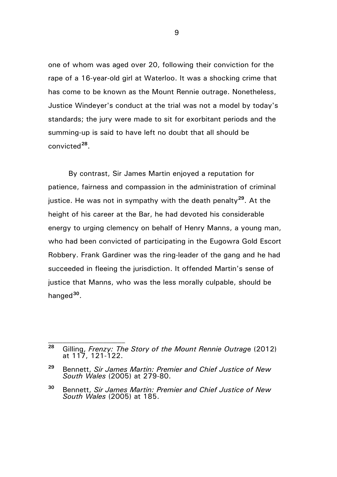one of whom was aged over 20, following their conviction for the rape of a 16-year-old girl at Waterloo. It was a shocking crime that has come to be known as the Mount Rennie outrage. Nonetheless, Justice Windeyer's conduct at the trial was not a model by today's standards; the jury were made to sit for exorbitant periods and the summing-up is said to have left no doubt that all should be convicted**[28](#page-8-0)**.

By contrast, Sir James Martin enjoyed a reputation for patience, fairness and compassion in the administration of criminal justice. He was not in sympathy with the death penalty**[29](#page-8-1)**. At the height of his career at the Bar, he had devoted his considerable energy to urging clemency on behalf of Henry Manns, a young man, who had been convicted of participating in the Eugowra Gold Escort Robbery. Frank Gardiner was the ring-leader of the gang and he had succeeded in fleeing the jurisdiction. It offended Martin's sense of justice that Manns, who was the less morally culpable, should be hanged**[30](#page-8-2)**.

 $\mathcal{L}_\text{max}$ 

9

<span id="page-8-0"></span>**<sup>28</sup>** Gilling, *Frenzy: The Story of the Mount Rennie Outrag*e (2012) at 117, 121-122.

<span id="page-8-1"></span>**<sup>29</sup>** Bennett, *Sir James Martin: Premier and Chief Justice of New South Wales* (2005) at 279-80.

<span id="page-8-2"></span>**<sup>30</sup>** Bennett, *Sir James Martin: Premier and Chief Justice of New South Wales* (2005) at 185.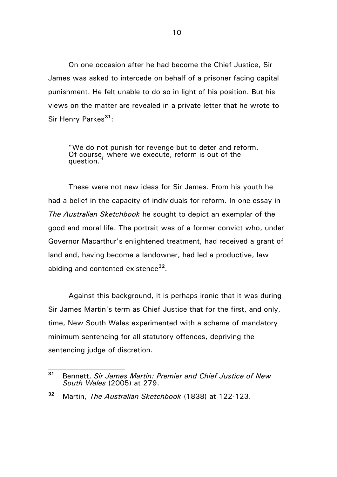On one occasion after he had become the Chief Justice, Sir James was asked to intercede on behalf of a prisoner facing capital punishment. He felt unable to do so in light of his position. But his views on the matter are revealed in a private letter that he wrote to Sir Henry Parkes**[31](#page-9-0)**:

"We do not punish for revenge but to deter and reform. Of course, where we execute, reform is out of the question."

These were not new ideas for Sir James. From his youth he had a belief in the capacity of individuals for reform. In one essay in *The Australian Sketchbook* he sought to depict an exemplar of the good and moral life. The portrait was of a former convict who, under Governor Macarthur's enlightened treatment, had received a grant of land and, having become a landowner, had led a productive, law abiding and contented existence**[32](#page-9-1)**.

Against this background, it is perhaps ironic that it was during Sir James Martin's term as Chief Justice that for the first, and only, time, New South Wales experimented with a scheme of mandatory minimum sentencing for all statutory offences, depriving the sentencing judge of discretion.

<span id="page-9-0"></span>**<sup>31</sup>** Bennett, *Sir James Martin: Premier and Chief Justice of New South Wales* (2005) at 279.

<span id="page-9-1"></span>**<sup>32</sup>** Martin, *The Australian Sketchbook* (1838) at 122-123.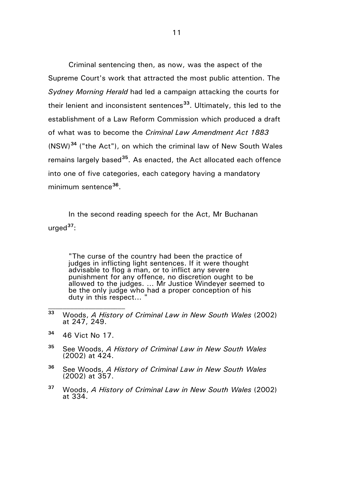Criminal sentencing then, as now, was the aspect of the Supreme Court's work that attracted the most public attention. The *Sydney Morning Herald* had led a campaign attacking the courts for their lenient and inconsistent sentences**[33](#page-10-0)**. Ultimately, this led to the establishment of a Law Reform Commission which produced a draft of what was to become the *Criminal Law Amendment Act 1883*  (NSW)**[34](#page-10-1)** ("the Act"), on which the criminal law of New South Wales remains largely based**[35](#page-10-2)**. As enacted, the Act allocated each offence into one of five categories, each category having a mandatory minimum sentence**[36](#page-10-3)**.

In the second reading speech for the Act, Mr Buchanan urged**[37](#page-10-4)**:

"The curse of the country had been the practice of judges in inflicting light sentences. If it were thought advisable to flog a man, or to inflict any severe punishment for any offence, no discretion ought to be allowed to the judges. … Mr Justice Windeyer seemed to be the only judge who had a proper conception of his duty in this respect...

<span id="page-10-1"></span>**<sup>34</sup>** 46 Vict No 17.

- <span id="page-10-2"></span>**<sup>35</sup>** See Woods, *A History of Criminal Law in New South Wales*  (2002) at 424.
- <span id="page-10-3"></span>**<sup>36</sup>** See Woods, *A History of Criminal Law in New South Wales*  (2002) at 357.
- <span id="page-10-4"></span>**<sup>37</sup>** Woods, *A History of Criminal Law in New South Wales* (2002) at 334.

<span id="page-10-0"></span>**<sup>33</sup>** Woods, *A History of Criminal Law in New South Wales* (2002) at 247, 249.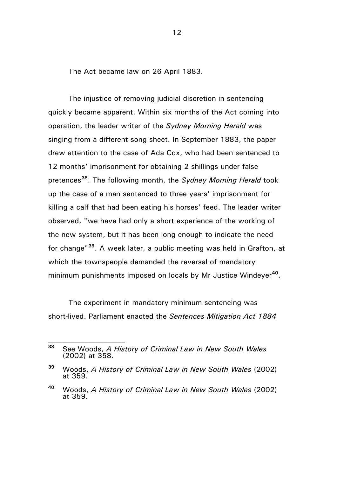The Act became law on 26 April 1883.

The injustice of removing judicial discretion in sentencing quickly became apparent. Within six months of the Act coming into operation, the leader writer of the *Sydney Morning Herald* was singing from a different song sheet. In September 1883, the paper drew attention to the case of Ada Cox, who had been sentenced to 12 months' imprisonment for obtaining 2 shillings under false pretences**[38](#page-11-0)**. The following month, the *Sydney Morning Herald* took up the case of a man sentenced to three years' imprisonment for killing a calf that had been eating his horses' feed. The leader writer observed, "we have had only a short experience of the working of the new system, but it has been long enough to indicate the need for change"**[39](#page-11-1)**. A week later, a public meeting was held in Grafton, at which the townspeople demanded the reversal of mandatory minimum punishments imposed on locals by Mr Justice Windeyer**[40](#page-11-2)**.

The experiment in mandatory minimum sentencing was short-lived. Parliament enacted the *Sentences Mitigation Act 1884*

<span id="page-11-0"></span>**<sup>38</sup>** See Woods, *A History of Criminal Law in New South Wales*  (2002) at 358.

<span id="page-11-1"></span>**<sup>39</sup>** Woods, *A History of Criminal Law in New South Wales* (2002) at 359.

<span id="page-11-2"></span>**<sup>40</sup>** Woods, *A History of Criminal Law in New South Wales* (2002) at 359.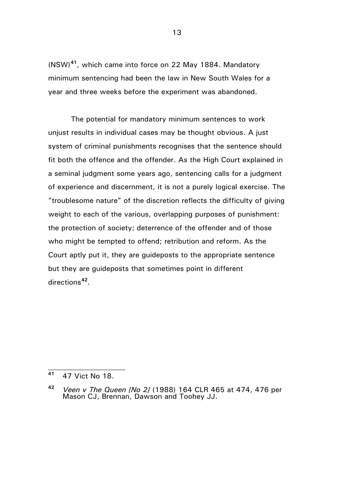(NSW)**[41](#page-12-0)**, which came into force on 22 May 1884. Mandatory minimum sentencing had been the law in New South Wales for a year and three weeks before the experiment was abandoned.

The potential for mandatory minimum sentences to work unjust results in individual cases may be thought obvious. A just system of criminal punishments recognises that the sentence should fit both the offence and the offender. As the High Court explained in a seminal judgment some years ago, sentencing calls for a judgment of experience and discernment, it is not a purely logical exercise. The "troublesome nature" of the discretion reflects the difficulty of giving weight to each of the various, overlapping purposes of punishment: the protection of society; deterrence of the offender and of those who might be tempted to offend; retribution and reform. As the Court aptly put it, they are guideposts to the appropriate sentence but they are guideposts that sometimes point in different directions**[42](#page-12-1)**.

<span id="page-12-0"></span>**<sup>41</sup>** 47 Vict No 18.

<span id="page-12-1"></span>**<sup>42</sup>** *Veen v The Queen [No 2]* (1988) 164 CLR 465 at 474, 476 per Mason CJ, Brennan, Dawson and Toohey JJ.